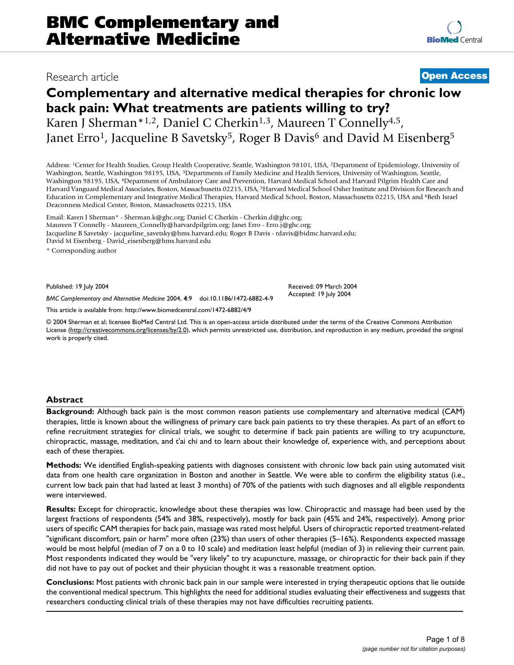# Research article **[Open Access](http://www.biomedcentral.com/info/about/charter/)**

# **Complementary and alternative medical therapies for chronic low back pain: What treatments are patients willing to try?** Karen J Sherman\*1,2, Daniel C Cherkin<sup>1,3</sup>, Maureen T Connelly<sup>4,5</sup>, Janet Erro<sup>1</sup>, Jacqueline B Savetsky<sup>5</sup>, Roger B Davis<sup>6</sup> and David M Eisenberg<sup>5</sup>

Address: 1Center for Health Studies, Group Health Cooperative, Seattle, Washington 98101, USA, 2Department of Epidemiology, University of Washington, Seattle, Washington 98195, USA, 3Departments of Family Medicine and Health Services, University of Washington, Seattle, Washington 98195, USA, 4Department of Ambulatory Care and Prevention, Harvard Medical School and Harvard Pilgrim Health Care and Harvard Vanguard Medical Associates, Boston, Massachusetts 02215, USA, <sup>5</sup>Harvard Medical School Osher Institute and Division for Research and Education in Complementary and Integrative Medical Therapies, Harvard Medical School, Boston, Massachusetts 02215, USA and 6Beth Israel Deaconness Medical Center, Boston, Massachusetts 02215, USA

Email: Karen J Sherman\* - Sherman.k@ghc.org; Daniel C Cherkin - Cherkin.d@ghc.org; Maureen T Connelly - Maureen\_Connelly@harvardpilgrim.org; Janet Erro - Erro.j@ghc.org; Jacqueline B Savetsky - jacqueline\_savetsky@hms.harvard.edu; Roger B Davis - rdavis@bidmc.harvard.edu; David M Eisenberg - David\_eisenberg@hms.harvard.edu

\* Corresponding author

Published: 19 July 2004

*BMC Complementary and Alternative Medicine* 2004, **4**:9 doi:10.1186/1472-6882-4-9

[This article is available from: http://www.biomedcentral.com/1472-6882/4/9](http://www.biomedcentral.com/1472-6882/4/9)

© 2004 Sherman et al; licensee BioMed Central Ltd. This is an open-access article distributed under the terms of the Creative Commons Attribution License (<http://creativecommons.org/licenses/by/2.0>), which permits unrestricted use, distribution, and reproduction in any medium, provided the original work is properly cited.

### **Abstract**

**Background:** Although back pain is the most common reason patients use complementary and alternative medical (CAM) therapies, little is known about the willingness of primary care back pain patients to try these therapies. As part of an effort to refine recruitment strategies for clinical trials, we sought to determine if back pain patients are willing to try acupuncture, chiropractic, massage, meditation, and t'ai chi and to learn about their knowledge of, experience with, and perceptions about each of these therapies.

**Methods:** We identified English-speaking patients with diagnoses consistent with chronic low back pain using automated visit data from one health care organization in Boston and another in Seattle. We were able to confirm the eligibility status (i.e., current low back pain that had lasted at least 3 months) of 70% of the patients with such diagnoses and all eligible respondents were interviewed.

**Results:** Except for chiropractic, knowledge about these therapies was low. Chiropractic and massage had been used by the largest fractions of respondents (54% and 38%, respectively), mostly for back pain (45% and 24%, respectively). Among prior users of specific CAM therapies for back pain, massage was rated most helpful. Users of chiropractic reported treatment-related "significant discomfort, pain or harm" more often (23%) than users of other therapies (5–16%). Respondents expected massage would be most helpful (median of 7 on a 0 to 10 scale) and meditation least helpful (median of 3) in relieving their current pain. Most respondents indicated they would be "very likely" to try acupuncture, massage, or chiropractic for their back pain if they did not have to pay out of pocket and their physician thought it was a reasonable treatment option.

**Conclusions:** Most patients with chronic back pain in our sample were interested in trying therapeutic options that lie outside the conventional medical spectrum. This highlights the need for additional studies evaluating their effectiveness and suggests that researchers conducting clinical trials of these therapies may not have difficulties recruiting patients.

> Page 1 of 8 *(page number not for citation purposes)*

Received: 09 March 2004 Accepted: 19 July 2004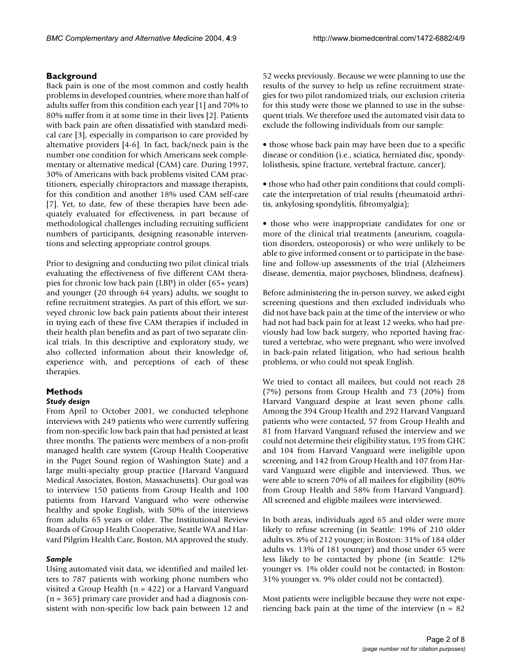# **Background**

Back pain is one of the most common and costly health problems in developed countries, where more than half of adults suffer from this condition each year [1] and 70% to 80% suffer from it at some time in their lives [2]. Patients with back pain are often dissatisfied with standard medical care [3], especially in comparison to care provided by alternative providers [4-6]. In fact, back/neck pain is the number one condition for which Americans seek complementary or alternative medical (CAM) care. During 1997, 30% of Americans with back problems visited CAM practitioners, especially chiropractors and massage therapists, for this condition and another 18% used CAM self-care [7]. Yet, to date, few of these therapies have been adequately evaluated for effectiveness, in part because of methodological challenges including recruiting sufficient numbers of participants, designing reasonable interventions and selecting appropriate control groups.

Prior to designing and conducting two pilot clinical trials evaluating the effectiveness of five different CAM therapies for chronic low back pain (LBP) in older (65+ years) and younger (20 through 64 years) adults, we sought to refine recruitment strategies. As part of this effort, we surveyed chronic low back pain patients about their interest in trying each of these five CAM therapies if included in their health plan benefits and as part of two separate clinical trials. In this descriptive and exploratory study, we also collected information about their knowledge of, experience with, and perceptions of each of these therapies.

# **Methods**

### *Study design*

From April to October 2001, we conducted telephone interviews with 249 patients who were currently suffering from non-specific low back pain that had persisted at least three months. The patients were members of a non-profit managed health care system (Group Health Cooperative in the Puget Sound region of Washington State) and a large multi-specialty group practice (Harvard Vanguard Medical Associates, Boston, Massachusetts). Our goal was to interview 150 patients from Group Health and 100 patients from Harvard Vanguard who were otherwise healthy and spoke English, with 50% of the interviews from adults 65 years or older. The Institutional Review Boards of Group Health Cooperative, Seattle WA and Harvard Pilgrim Health Care, Boston, MA approved the study.

# *Sample*

Using automated visit data, we identified and mailed letters to 787 patients with working phone numbers who visited a Group Health (n = 422) or a Harvard Vanguard (n = 365) primary care provider and had a diagnosis consistent with non-specific low back pain between 12 and

52 weeks previously. Because we were planning to use the results of the survey to help us refine recruitment strategies for two pilot randomized trials, our exclusion criteria for this study were those we planned to use in the subsequent trials. We therefore used the automated visit data to exclude the following individuals from our sample:

• those whose back pain may have been due to a specific disease or condition (i.e., sciatica, herniated disc, spondylolisthesis, spine fracture, vertebral fracture, cancer);

• those who had other pain conditions that could complicate the interpretation of trial results (rheumatoid arthritis, ankylosing spondylitis, fibromyalgia);

• those who were inappropriate candidates for one or more of the clinical trial treatments (aneurism, coagulation disorders, osteoporosis) or who were unlikely to be able to give informed consent or to participate in the baseline and follow-up assessments of the trial (Alzheimers disease, dementia, major psychoses, blindness, deafness).

Before administering the in-person survey, we asked eight screening questions and then excluded individuals who did not have back pain at the time of the interview or who had not had back pain for at least 12 weeks, who had previously had low back surgery, who reported having fractured a vertebrae, who were pregnant, who were involved in back-pain related litigation, who had serious health problems, or who could not speak English.

We tried to contact all mailees, but could not reach 28 (7%) persons from Group Health and 73 (20%) from Harvard Vanguard despite at least seven phone calls. Among the 394 Group Health and 292 Harvard Vanguard patients who were contacted, 57 from Group Health and 81 from Harvard Vanguard refused the interview and we could not determine their eligibility status, 195 from GHC and 104 from Harvard Vanguard were ineligible upon screening, and 142 from Group Health and 107 from Harvard Vanguard were eligible and interviewed. Thus, we were able to screen 70% of all mailees for eligibility (80% from Group Health and 58% from Harvard Vanguard). All screened and eligible mailees were interviewed.

In both areas, individuals aged 65 and older were more likely to refuse screening (in Seattle: 19% of 210 older adults vs. 8% of 212 younger; in Boston: 31% of 184 older adults vs. 13% of 181 younger) and those under 65 were less likely to be contacted by phone (in Seattle: 12% younger vs. 1% older could not be contacted; in Boston: 31% younger vs. 9% older could not be contacted).

Most patients were ineligible because they were not experiencing back pain at the time of the interview  $(n = 82)$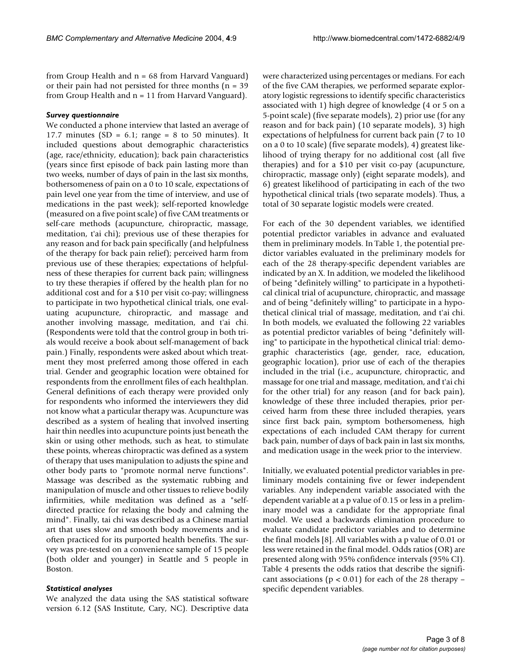from Group Health and  $n = 68$  from Harvard Vanguard) or their pain had not persisted for three months  $(n = 39)$ from Group Health and n = 11 from Harvard Vanguard).

#### *Survey questionnaire*

We conducted a phone interview that lasted an average of 17.7 minutes (SD =  $6.1$ ; range = 8 to 50 minutes). It included questions about demographic characteristics (age, race/ethnicity, education); back pain characteristics (years since first episode of back pain lasting more than two weeks, number of days of pain in the last six months, bothersomeness of pain on a 0 to 10 scale, expectations of pain level one year from the time of interview, and use of medications in the past week); self-reported knowledge (measured on a five point scale) of five CAM treatments or self-care methods (acupuncture, chiropractic, massage, meditation, t'ai chi); previous use of these therapies for any reason and for back pain specifically (and helpfulness of the therapy for back pain relief); perceived harm from previous use of these therapies; expectations of helpfulness of these therapies for current back pain; willingness to try these therapies if offered by the health plan for no additional cost and for a \$10 per visit co-pay; willingness to participate in two hypothetical clinical trials, one evaluating acupuncture, chiropractic, and massage and another involving massage, meditation, and t'ai chi. (Respondents were told that the control group in both trials would receive a book about self-management of back pain.) Finally, respondents were asked about which treatment they most preferred among those offered in each trial. Gender and geographic location were obtained for respondents from the enrollment files of each healthplan. General definitions of each therapy were provided only for respondents who informed the interviewers they did not know what a particular therapy was. Acupuncture was described as a system of healing that involved inserting hair thin needles into acupuncture points just beneath the skin or using other methods, such as heat, to stimulate these points, whereas chiropractic was defined as a system of therapy that uses manipulation to adjusts the spine and other body parts to "promote normal nerve functions". Massage was described as the systematic rubbing and manipulation of muscle and other tissues to relieve bodily infirmities, while meditation was defined as a "selfdirected practice for relaxing the body and calming the mind". Finally, tai chi was described as a Chinese martial art that uses slow and smooth body movements and is often practiced for its purported health benefits. The survey was pre-tested on a convenience sample of 15 people (both older and younger) in Seattle and 5 people in Boston.

#### *Statistical analyses*

We analyzed the data using the SAS statistical software version 6.12 (SAS Institute, Cary, NC). Descriptive data

were characterized using percentages or medians. For each of the five CAM therapies, we performed separate exploratory logistic regressions to identify specific characteristics associated with 1) high degree of knowledge (4 or 5 on a 5-point scale) (five separate models), 2) prior use (for any reason and for back pain) (10 separate models), 3) high expectations of helpfulness for current back pain (7 to 10 on a 0 to 10 scale) (five separate models), 4) greatest likelihood of trying therapy for no additional cost (all five therapies) and for a \$10 per visit co-pay (acupuncture, chiropractic, massage only) (eight separate models), and 6) greatest likelihood of participating in each of the two hypothetical clinical trials (two separate models). Thus, a total of 30 separate logistic models were created.

For each of the 30 dependent variables, we identified potential predictor variables in advance and evaluated them in preliminary models. In Table [1](#page-3-0), the potential predictor variables evaluated in the preliminary models for each of the 28 therapy-specific dependent variables are indicated by an X. In addition, we modeled the likelihood of being "definitely willing" to participate in a hypothetical clinical trial of acupuncture, chiropractic, and massage and of being "definitely willing" to participate in a hypothetical clinical trial of massage, meditation, and t'ai chi. In both models, we evaluated the following 22 variables as potential predictor variables of being "definitely willing" to participate in the hypothetical clinical trial: demographic characteristics (age, gender, race, education, geographic location), prior use of each of the therapies included in the trial (i.e., acupuncture, chiropractic, and massage for one trial and massage, meditation, and t'ai chi for the other trial) for any reason (and for back pain), knowledge of these three included therapies, prior perceived harm from these three included therapies, years since first back pain, symptom bothersomeness, high expectations of each included CAM therapy for current back pain, number of days of back pain in last six months, and medication usage in the week prior to the interview.

Initially, we evaluated potential predictor variables in preliminary models containing five or fewer independent variables. Any independent variable associated with the dependent variable at a p value of 0.15 or less in a preliminary model was a candidate for the appropriate final model. We used a backwards elimination procedure to evaluate candidate predictor variables and to determine the final models [8]. All variables with a p value of 0.01 or less were retained in the final model. Odds ratios (OR) are presented along with 95% confidence intervals (95% CI). Table [4](#page-4-0) presents the odds ratios that describe the significant associations ( $p < 0.01$ ) for each of the 28 therapy – specific dependent variables.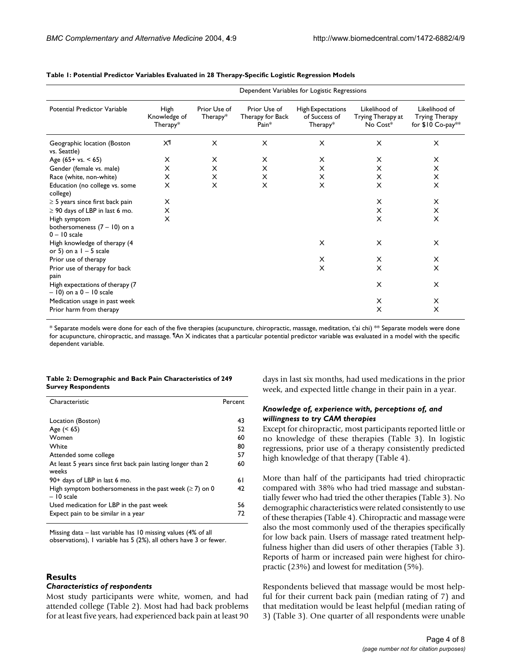| <b>Potential Predictor Variable</b>                              | Dependent Variables for Logistic Regressions |                            |                                           |                                                  |                                                |                                                              |  |
|------------------------------------------------------------------|----------------------------------------------|----------------------------|-------------------------------------------|--------------------------------------------------|------------------------------------------------|--------------------------------------------------------------|--|
|                                                                  | High<br>Knowledge of<br>$Therapy*$           | Prior Use of<br>$Therapy*$ | Prior Use of<br>Therapy for Back<br>Pain* | High Expectations<br>of Success of<br>$Therapy*$ | Likelihood of<br>Trying Therapy at<br>No Cost* | Likelihood of<br><b>Trying Therapy</b><br>for $$10$ Co-pay** |  |
| Geographic location (Boston<br>vs. Seattle)                      | X                                            | X                          | $\times$                                  | $\times$                                         | $\times$                                       | $\times$                                                     |  |
| Age $(65 + vs. < 65)$                                            | X                                            | X                          | $\times$                                  | X                                                | X                                              | X                                                            |  |
| Gender (female vs. male)                                         | X                                            | X                          | X                                         | X                                                | X                                              | X                                                            |  |
| Race (white, non-white)                                          | X                                            | Х                          | X                                         | X                                                | X                                              | X                                                            |  |
| Education (no college vs. some<br>college)                       | X                                            | X                          | X                                         | X                                                | X                                              | X                                                            |  |
| $\geq$ 5 years since first back pain                             | X                                            |                            |                                           |                                                  | X                                              | X                                                            |  |
| $\geq$ 90 days of LBP in last 6 mo.                              | X                                            |                            |                                           |                                                  | X                                              | $\pmb{\times}$                                               |  |
| High symptom<br>bothersomeness $(7 - 10)$ on a<br>$0 - 10$ scale | $\mathsf{x}$                                 |                            |                                           |                                                  | X                                              | $\times$                                                     |  |
| High knowledge of therapy (4<br>or 5) on a $1 - 5$ scale         |                                              |                            |                                           | X                                                | X                                              | $\times$                                                     |  |
| Prior use of therapy                                             |                                              |                            |                                           | $\times$                                         | X                                              | $\times$                                                     |  |
| Prior use of therapy for back<br>pain                            |                                              |                            |                                           | $\times$                                         | $\times$                                       | $\times$                                                     |  |
| High expectations of therapy (7<br>$-10$ ) on a $0 - 10$ scale   |                                              |                            |                                           |                                                  | X                                              | X                                                            |  |
| Medication usage in past week                                    |                                              |                            |                                           |                                                  | X                                              | $\times$                                                     |  |
| Prior harm from therapy                                          |                                              |                            |                                           |                                                  | X                                              | $\times$                                                     |  |

#### <span id="page-3-0"></span>**Table 1: Potential Predictor Variables Evaluated in 28 Therapy-Specific Logistic Regression Models**

\* Separate models were done for each of the five therapies (acupuncture, chiropractic, massage, meditation, t'ai chi) \*\* Separate models were done for acupuncture, chiropractic, and massage. ¶An X indicates that a particular potential predictor variable was evaluated in a model with the specific dependent variable.

#### <span id="page-3-1"></span>**Table 2: Demographic and Back Pain Characteristics of 249 Survey Respondents**

| Characteristic                                                              | Percent |
|-----------------------------------------------------------------------------|---------|
| Location (Boston)                                                           | 43      |
| Age $(< 65)$                                                                | 52      |
| Women                                                                       | 60      |
| White                                                                       | 80      |
| Attended some college                                                       | 57      |
| At least 5 years since first back pain lasting longer than 2<br>weeks       | 60      |
| 90+ days of LBP in last 6 mo.                                               | 6 I     |
| High symptom bothersomeness in the past week ( $\geq$ 7) on 0<br>– 10 scale | 42      |
| Used medication for LBP in the past week                                    | 56      |
| Expect pain to be similar in a year                                         | 72      |

Missing data – last variable has 10 missing values (4% of all observations), 1 variable has 5 (2%), all others have 3 or fewer.

### **Results**

#### *Characteristics of respondents*

Most study participants were white, women, and had attended college (Table [2](#page-3-1)). Most had had back problems for at least five years, had experienced back pain at least 90

days in last six months, had used medications in the prior week, and expected little change in their pain in a year.

#### *Knowledge of, experience with, perceptions of, and willingness to try CAM therapies*

Except for chiropractic, most participants reported little or no knowledge of these therapies (Table [3](#page-4-1)). In logistic regressions, prior use of a therapy consistently predicted high knowledge of that therapy (Table [4](#page-4-0)).

More than half of the participants had tried chiropractic compared with 38% who had tried massage and substantially fewer who had tried the other therapies (Table [3\)](#page-4-1). No demographic characteristics were related consistently to use of these therapies (Table [4\)](#page-4-0). Chiropractic and massage were also the most commonly used of the therapies specifically for low back pain. Users of massage rated treatment helpfulness higher than did users of other therapies (Table [3\)](#page-4-1). Reports of harm or increased pain were highest for chiropractic (23%) and lowest for meditation (5%).

Respondents believed that massage would be most helpful for their current back pain (median rating of 7) and that meditation would be least helpful (median rating of 3) (Table [3](#page-4-1)). One quarter of all respondents were unable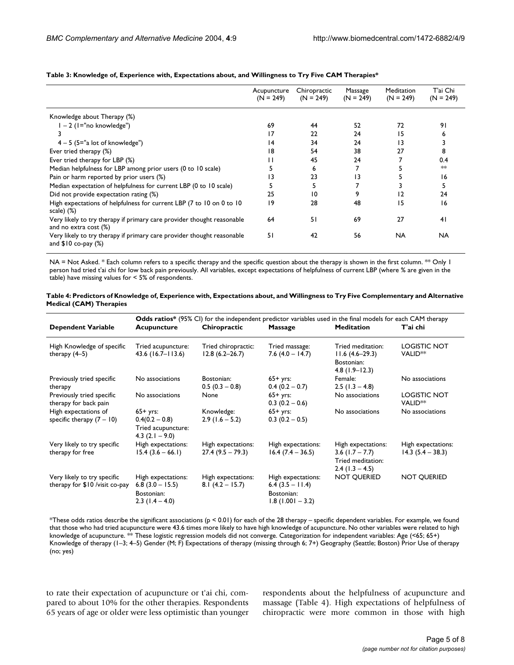|                                                                                                    | Acupuncture<br>$(N = 249)$ | Chiropractic<br>$(N = 249)$ | Massage<br>$(N = 249)$ | Meditation<br>$(N = 249)$ | T'ai Chi<br>$(N = 249)$ |
|----------------------------------------------------------------------------------------------------|----------------------------|-----------------------------|------------------------|---------------------------|-------------------------|
| Knowledge about Therapy (%)                                                                        |                            |                             |                        |                           |                         |
| $1 - 2$ ( $1 =$ "no knowledge")                                                                    | 69                         | 44                          | 52                     | 72                        | 91                      |
|                                                                                                    | 17                         | 22                          | 24                     | 15                        | 6                       |
| $4 - 5$ (5="a lot of knowledge")                                                                   | 4                          | 34                          | 24                     | 13                        |                         |
| Ever tried therapy (%)                                                                             | 18                         | 54                          | 38                     | 27                        | 8                       |
| Ever tried therapy for LBP (%)                                                                     |                            | 45                          | 24                     |                           | 0.4                     |
| Median helpfulness for LBP among prior users (0 to 10 scale)                                       |                            | 6                           |                        |                           | $*$                     |
| Pain or harm reported by prior users (%)                                                           | 13                         | 23                          | 13                     |                           | 16                      |
| Median expectation of helpfulness for current LBP (0 to 10 scale)                                  |                            | 5                           |                        |                           | 5                       |
| Did not provide expectation rating (%)                                                             | 25                         | 10                          | 9                      | 12                        | 24                      |
| High expectations of helpfulness for current LBP (7 to 10 on 0 to 10<br>$scale)$ (%)               | 19                         | 28                          | 48                     | 15                        | 16                      |
| Very likely to try therapy if primary care provider thought reasonable<br>and no extra cost $(\%)$ | 64                         | 51                          | 69                     | 27                        | 41                      |
| Very likely to try therapy if primary care provider thought reasonable<br>and $$10 co-pay (\%)$    | 51                         | 42                          | 56                     | <b>NA</b>                 | <b>NA</b>               |

#### <span id="page-4-1"></span>**Table 3: Knowledge of, Experience with, Expectations about, and Willingness to Try Five CAM Therapies\***

NA = Not Asked. \* Each column refers to a specific therapy and the specific question about the therapy is shown in the first column. \*\* Only 1 person had tried t'ai chi for low back pain previously. All variables, except expectations of helpfulness of current LBP (where % are given in the table) have missing values for < 5% of respondents.

#### <span id="page-4-0"></span>**Table 4: Predictors of Knowledge of, Experience with, Expectations about, and Willingness to Try Five Complementary and Alternative Medical (CAM) Therapies**

|                                                               | <b>Odds ratios*</b> (95% CI) for the independent predictor variables used in the final models for each CAM therapy |                                           |                                                                              |                                                                                   |                                            |  |
|---------------------------------------------------------------|--------------------------------------------------------------------------------------------------------------------|-------------------------------------------|------------------------------------------------------------------------------|-----------------------------------------------------------------------------------|--------------------------------------------|--|
| <b>Dependent Variable</b>                                     | <b>Acupuncture</b>                                                                                                 | Chiropractic                              | Massage                                                                      | <b>Meditation</b>                                                                 | T'ai chi                                   |  |
| High Knowledge of specific<br>therapy $(4-5)$                 | Tried acupuncture:<br>$43.6$ (16.7–113.6)                                                                          | Tried chiropractic:<br>$12.8(6.2 - 26.7)$ | Tried massage:<br>$7.6$ (4.0 – 14.7)                                         | Tried meditation:<br>$11.6(4.6-29.3)$<br>Bostonian:<br>$4.8$ (1.9-12.3)           | LOGISTIC NOT<br>VALID <sup>**</sup>        |  |
| Previously tried specific<br>therapy                          | No associations                                                                                                    | Bostonian:<br>$0.5(0.3 - 0.8)$            | $65+$ yrs:<br>$0.4(0.2 - 0.7)$                                               | Female:<br>$2.5$ (1.3 – 4.8)                                                      | No associations                            |  |
| Previously tried specific<br>therapy for back pain            | No associations                                                                                                    | None                                      | $65+$ yrs:<br>$0.3(0.2 - 0.6)$                                               | No associations                                                                   | <b>LOGISTIC NOT</b><br>VALID <sup>**</sup> |  |
| High expectations of<br>specific therapy $(7 - 10)$           | $65+$ yrs:<br>$0.4(0.2 - 0.8)$<br>Tried acupuncture:<br>4.3 $(2.1 - 9.0)$                                          | Knowledge:<br>$2.9$ (1.6 – 5.2)           | $65+yrs$ :<br>$0.3$ (0.2 – 0.5)                                              | No associations                                                                   | No associations                            |  |
| Very likely to try specific<br>therapy for free               | High expectations:<br>$15.4(3.6 - 66.1)$                                                                           | High expectations:<br>$27.4(9.5 - 79.3)$  | High expectations:<br>$16.4 (7.4 - 36.5)$                                    | High expectations:<br>$3.6$ (1.7 – 7.7)<br>Tried meditation:<br>$2.4$ (1.3 – 4.5) | High expectations:<br>$14.3(5.4 - 38.3)$   |  |
| Very likely to try specific<br>therapy for \$10 /visit co-pay | High expectations:<br>$6.8$ (3.0 - 15.5)<br>Bostonian:<br>$2.3$ (1.4 – 4.0)                                        | High expectations:<br>$8.1$ (4.2 – 15.7)  | High expectations:<br>$6.4$ (3.5 – 11.4)<br>Bostonian:<br>$1.8(1.001 - 3.2)$ | <b>NOT QUERIED</b>                                                                | NOT QUERIED                                |  |

 $*$ These odds ratios describe the significant associations ( $p < 0.01$ ) for each of the 28 therapy – specific dependent variables. For example, we found that those who had tried acupuncture were 43.6 times more likely to have high knowledge of acupuncture. No other variables were related to high knowledge of acupuncture. \*\* These logistic regression models did not converge. Categorization for independent variables: Age (<65; 65+) Knowledge of therapy (1–3; 4–5) Gender (M; F) Expectations of therapy (missing through 6; 7+) Geography (Seattle; Boston) Prior Use of therapy (no; yes)

to rate their expectation of acupuncture or t'ai chi, compared to about 10% for the other therapies. Respondents 65 years of age or older were less optimistic than younger respondents about the helpfulness of acupuncture and massage (Table [4](#page-4-0)). High expectations of helpfulness of chiropractic were more common in those with high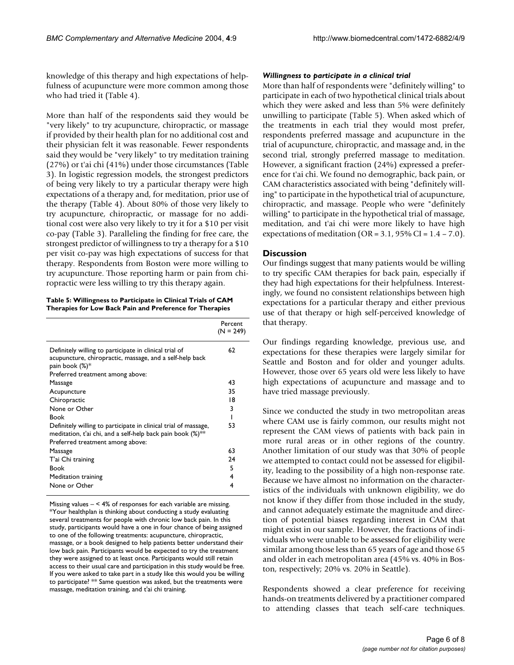knowledge of this therapy and high expectations of helpfulness of acupuncture were more common among those who had tried it (Table [4](#page-4-0)).

More than half of the respondents said they would be "very likely" to try acupuncture, chiropractic, or massage if provided by their health plan for no additional cost and their physician felt it was reasonable. Fewer respondents said they would be "very likely" to try meditation training (27%) or t'ai chi (41%) under those circumstances (Table [3\)](#page-4-1). In logistic regression models, the strongest predictors of being very likely to try a particular therapy were high expectations of a therapy and, for meditation, prior use of the therapy (Table [4\)](#page-4-0). About 80% of those very likely to try acupuncture, chiropractic, or massage for no additional cost were also very likely to try it for a \$10 per visit co-pay (Table [3\)](#page-4-1). Paralleling the finding for free care, the strongest predictor of willingness to try a therapy for a \$10 per visit co-pay was high expectations of success for that therapy. Respondents from Boston were more willing to try acupuncture. Those reporting harm or pain from chiropractic were less willing to try this therapy again.

<span id="page-5-0"></span>**Table 5: Willingness to Participate in Clinical Trials of CAM Therapies for Low Back Pain and Preference for Therapies**

|                                                                                                                                                                               | Percent<br>$(N = 249)$ |
|-------------------------------------------------------------------------------------------------------------------------------------------------------------------------------|------------------------|
| Definitely willing to participate in clinical trial of<br>acupuncture, chiropractic, massage, and a self-help back<br>pain book $(\%)^*$                                      | 62                     |
| Preferred treatment among above:                                                                                                                                              |                        |
| Massage                                                                                                                                                                       | 43                     |
| Acupuncture                                                                                                                                                                   | 35                     |
| Chiropractic                                                                                                                                                                  | 18                     |
| None or Other                                                                                                                                                                 | 3                      |
| Book                                                                                                                                                                          |                        |
| Definitely willing to participate in clinical trial of massage,<br>meditation, t'ai chi, and a self-help back pain book (%) <sup>**</sup><br>Preferred treatment among above: | 53                     |
| Massage                                                                                                                                                                       | 63                     |
| T'ai Chi training                                                                                                                                                             | 24                     |
| Book                                                                                                                                                                          | 5                      |
| Meditation training                                                                                                                                                           | 4                      |
| None or Other                                                                                                                                                                 | 4                      |

Missing values  $- < 4\%$  of responses for each variable are missing. \*Your healthplan is thinking about conducting a study evaluating several treatments for people with chronic low back pain. In this study, participants would have a one in four chance of being assigned to one of the following treatments: acupuncture, chiropractic, massage, or a book designed to help patients better understand their low back pain. Participants would be expected to try the treatment they were assigned to at least once. Participants would still retain access to their usual care and participation in this study would be free. If you were asked to take part in a study like this would you be willing to participate? \*\* Same question was asked, but the treatments were massage, meditation training, and t'ai chi training.

### *Willingness to participate in a clinical trial*

More than half of respondents were "definitely willing" to participate in each of two hypothetical clinical trials about which they were asked and less than 5% were definitely unwilling to participate (Table [5\)](#page-5-0). When asked which of the treatments in each trial they would most prefer, respondents preferred massage and acupuncture in the trial of acupuncture, chiropractic, and massage and, in the second trial, strongly preferred massage to meditation. However, a significant fraction (24%) expressed a preference for t'ai chi. We found no demographic, back pain, or CAM characteristics associated with being "definitely willing" to participate in the hypothetical trial of acupuncture, chiropractic, and massage. People who were "definitely willing" to participate in the hypothetical trial of massage, meditation, and t'ai chi were more likely to have high expectations of meditation (OR =  $3.1$ ,  $95\%$  CI =  $1.4 - 7.0$ ).

# **Discussion**

Our findings suggest that many patients would be willing to try specific CAM therapies for back pain, especially if they had high expectations for their helpfulness. Interestingly, we found no consistent relationships between high expectations for a particular therapy and either previous use of that therapy or high self-perceived knowledge of that therapy.

Our findings regarding knowledge, previous use, and expectations for these therapies were largely similar for Seattle and Boston and for older and younger adults. However, those over 65 years old were less likely to have high expectations of acupuncture and massage and to have tried massage previously.

Since we conducted the study in two metropolitan areas where CAM use is fairly common, our results might not represent the CAM views of patients with back pain in more rural areas or in other regions of the country. Another limitation of our study was that 30% of people we attempted to contact could not be assessed for eligibility, leading to the possibility of a high non-response rate. Because we have almost no information on the characteristics of the individuals with unknown eligibility, we do not know if they differ from those included in the study, and cannot adequately estimate the magnitude and direction of potential biases regarding interest in CAM that might exist in our sample. However, the fractions of individuals who were unable to be assessed for eligibility were similar among those less than 65 years of age and those 65 and older in each metropolitan area (45% vs. 40% in Boston, respectively; 20% vs. 20% in Seattle).

Respondents showed a clear preference for receiving hands-on treatments delivered by a practitioner compared to attending classes that teach self-care techniques.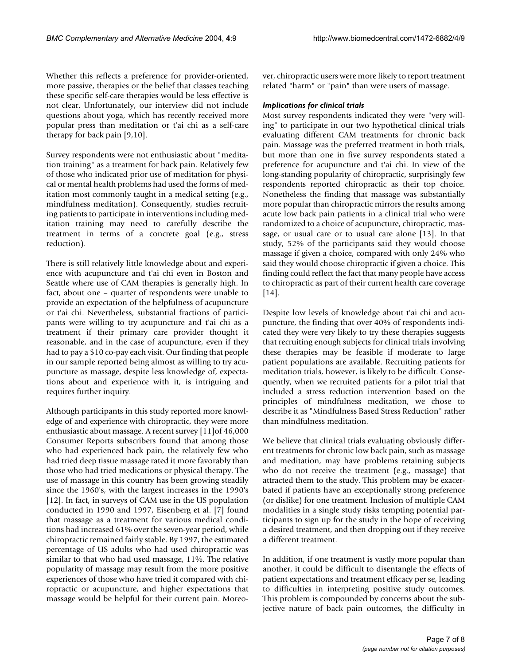Whether this reflects a preference for provider-oriented, more passive, therapies or the belief that classes teaching these specific self-care therapies would be less effective is not clear. Unfortunately, our interview did not include questions about yoga, which has recently received more popular press than meditation or t'ai chi as a self-care therapy for back pain [9,10].

Survey respondents were not enthusiastic about "meditation training" as a treatment for back pain. Relatively few of those who indicated prior use of meditation for physical or mental health problems had used the forms of meditation most commonly taught in a medical setting (e.g., mindfulness meditation). Consequently, studies recruiting patients to participate in interventions including meditation training may need to carefully describe the treatment in terms of a concrete goal (e.g., stress reduction).

There is still relatively little knowledge about and experience with acupuncture and t'ai chi even in Boston and Seattle where use of CAM therapies is generally high. In fact, about one – quarter of respondents were unable to provide an expectation of the helpfulness of acupuncture or t'ai chi. Nevertheless, substantial fractions of participants were willing to try acupuncture and t'ai chi as a treatment if their primary care provider thought it reasonable, and in the case of acupuncture, even if they had to pay a \$10 co-pay each visit. Our finding that people in our sample reported being almost as willing to try acupuncture as massage, despite less knowledge of, expectations about and experience with it, is intriguing and requires further inquiry.

Although participants in this study reported more knowledge of and experience with chiropractic, they were more enthusiastic about massage. A recent survey [11]of 46,000 Consumer Reports subscribers found that among those who had experienced back pain, the relatively few who had tried deep tissue massage rated it more favorably than those who had tried medications or physical therapy. The use of massage in this country has been growing steadily since the 1960's, with the largest increases in the 1990's [12]. In fact, in surveys of CAM use in the US population conducted in 1990 and 1997, Eisenberg et al. [7] found that massage as a treatment for various medical conditions had increased 61% over the seven-year period, while chiropractic remained fairly stable. By 1997, the estimated percentage of US adults who had used chiropractic was similar to that who had used massage, 11%. The relative popularity of massage may result from the more positive experiences of those who have tried it compared with chiropractic or acupuncture, and higher expectations that massage would be helpful for their current pain. Moreover, chiropractic users were more likely to report treatment related "harm" or "pain" than were users of massage.

### *Implications for clinical trials*

Most survey respondents indicated they were "very willing" to participate in our two hypothetical clinical trials evaluating different CAM treatments for chronic back pain. Massage was the preferred treatment in both trials, but more than one in five survey respondents stated a preference for acupuncture and t'ai chi. In view of the long-standing popularity of chiropractic, surprisingly few respondents reported chiropractic as their top choice. Nonetheless the finding that massage was substantially more popular than chiropractic mirrors the results among acute low back pain patients in a clinical trial who were randomized to a choice of acupuncture, chiropractic, massage, or usual care or to usual care alone [13]. In that study, 52% of the participants said they would choose massage if given a choice, compared with only 24% who said they would choose chiropractic if given a choice. This finding could reflect the fact that many people have access to chiropractic as part of their current health care coverage [14].

Despite low levels of knowledge about t'ai chi and acupuncture, the finding that over 40% of respondents indicated they were very likely to try these therapies suggests that recruiting enough subjects for clinical trials involving these therapies may be feasible if moderate to large patient populations are available. Recruiting patients for meditation trials, however, is likely to be difficult. Consequently, when we recruited patients for a pilot trial that included a stress reduction intervention based on the principles of mindfulness meditation, we chose to describe it as "Mindfulness Based Stress Reduction" rather than mindfulness meditation.

We believe that clinical trials evaluating obviously different treatments for chronic low back pain, such as massage and meditation, may have problems retaining subjects who do not receive the treatment (e.g., massage) that attracted them to the study. This problem may be exacerbated if patients have an exceptionally strong preference (or dislike) for one treatment. Inclusion of multiple CAM modalities in a single study risks tempting potential participants to sign up for the study in the hope of receiving a desired treatment, and then dropping out if they receive a different treatment.

In addition, if one treatment is vastly more popular than another, it could be difficult to disentangle the effects of patient expectations and treatment efficacy per se, leading to difficulties in interpreting positive study outcomes. This problem is compounded by concerns about the subjective nature of back pain outcomes, the difficulty in